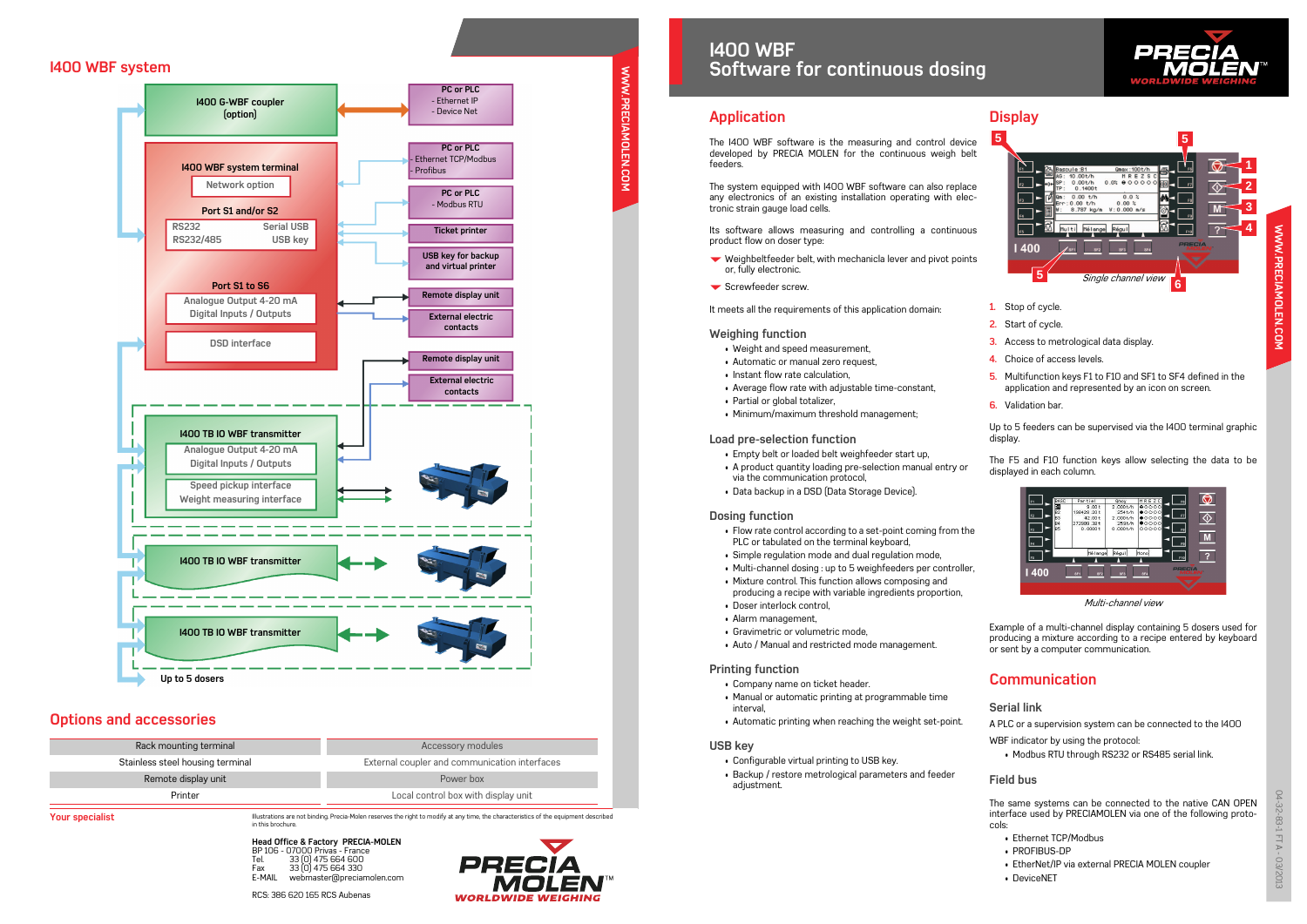Illustrations are not binding. Precia-Molen reserves the right to modify at any time, the characteristics of the equipment described in this brochure.

**Head Office & Factory PRECIA-MOLEN** BP 106 - 07000 Privas - France Tel. 33 (0) 475 664 600 Fax 33 (0) 475 664 330<br>F-MAII webmaster@precia webmaster@preciamolen.com



**Your specialist**

RCS: 386 620 165 RCS Aubenas



any electronics of an existing installation operating with electronic strain gauge load cells.

Its software allows measuring and controlling a continuous product flow on doser type:

- $\blacktriangleright$  Weighbeltfeeder belt, with mechanicla lever and pivot points or, fully electronic.
- $\blacktriangleright$  Screwfeeder screw.

It meets all the requirements of this application domain:

#### **Weighing function**

- Weight and speed measurement,
- Automatic or manual zero request,
- Instant flow rate calculation,
- Average flow rate with adjustable time-constant,
- Partial or global totalizer,
- Minimum/maximum threshold management;

### **Load pre-selection function**

- Empty belt or loaded belt weighfeeder start up,
- A product quantity loading pre-selection manual entry or via the communication protocol,
- Data backup in a DSD (Data Storage Device).

### **Dosing function**

- Flow rate control according to a set-point coming from the PLC or tabulated on the terminal keyboard,
- Simple regulation mode and dual regulation mode,
- Multi-channel dosing : up to 5 weighfeeders per controller,
- Mixture control. This function allows composing and
- producing a recipe with variable ingredients proportion,
- Doser interlock control, • Alarm management,
- Gravimetric or volumetric mode,
- Auto / Manual and restricted mode management.

### **Printing function**

- Company name on ticket header.
- Manual or automatic printing at programmable time interval,
- Automatic printing when reaching the weight set-point.

### **USB key**

- Configurable virtual printing to USB key.
- Backup / restore metrological parameters and feeder adjustment.

# **Display**

- **1.** Stop of cycle.
- **2.** Start of cycle.
- **3.** Access to metrological data display.
- **4.** Choice of access levels.
- **5.** Multifunction keys F1 to F10 and SF1 to SF4 defined in the application and represented by an icon on screen.
- **6.** Validation bar.

Up to 5 feeders can be supervised via the I400 terminal graphic display.

The F5 and F10 function keys allow selecting the data to be displayed in each column.

Example of a multi-channel display containing 5 dosers used for producing a mixture according to a recipe entered by keyboard or sent by a computer communication.

## **Communication**

### **Serial link**

A PLC or a supervision system can be connected to the I400

WBF indicator by using the protocol:

• Modbus RTU through RS232 or RS485 serial link.

## **Field bus**

The same systems can be connected to the native CAN OPEN interface used by PRECIAMOLEN via one of the following protocols:

- Ethernet TCP/Modbus
- PROFIBUS-DP
- EtherNet/IP via external PRECIA MOLEN coupler
- DeviceNET





Multi-channel view

## **I400 WBF system**

## **Options and accessories**

| Rack mounting terminal           | Accessory modules                             |  |
|----------------------------------|-----------------------------------------------|--|
| Stainless steel housing terminal | External coupler and communication interfaces |  |
| Remote display unit              | Power box                                     |  |
| Printer                          | Local control box with display unit           |  |
|                                  |                                               |  |



# **I400 WBFSoftware for continuous dosing**

**SOTTWATE TOT CONTINUOUS GOSIN**<br> **Application**<br>
The I400 WBF software is the measuring and control device<br>
developed by PRECIA MOLEN for the continuous weigh belt<br>
feeders.<br>
The system equipped with I400 WBF software can a